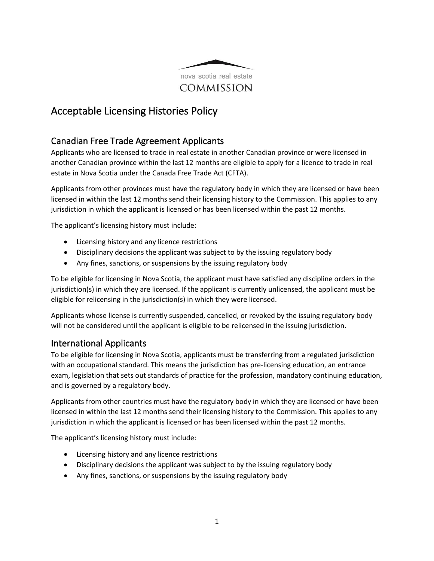

## Acceptable Licensing Histories Policy

## Canadian Free Trade Agreement Applicants

Applicants who are licensed to trade in real estate in another Canadian province or were licensed in another Canadian province within the last 12 months are eligible to apply for a licence to trade in real estate in Nova Scotia under the Canada Free Trade Act (CFTA).

Applicants from other provinces must have the regulatory body in which they are licensed or have been licensed in within the last 12 months send their licensing history to the Commission. This applies to any jurisdiction in which the applicant is licensed or has been licensed within the past 12 months.

The applicant's licensing history must include:

- Licensing history and any licence restrictions
- Disciplinary decisions the applicant was subject to by the issuing regulatory body
- Any fines, sanctions, or suspensions by the issuing regulatory body

To be eligible for licensing in Nova Scotia, the applicant must have satisfied any discipline orders in the jurisdiction(s) in which they are licensed. If the applicant is currently unlicensed, the applicant must be eligible for relicensing in the jurisdiction(s) in which they were licensed.

Applicants whose license is currently suspended, cancelled, or revoked by the issuing regulatory body will not be considered until the applicant is eligible to be relicensed in the issuing jurisdiction.

## International Applicants

To be eligible for licensing in Nova Scotia, applicants must be transferring from a regulated jurisdiction with an occupational standard. This means the jurisdiction has pre-licensing education, an entrance exam, legislation that sets out standards of practice for the profession, mandatory continuing education, and is governed by a regulatory body.

Applicants from other countries must have the regulatory body in which they are licensed or have been licensed in within the last 12 months send their licensing history to the Commission. This applies to any jurisdiction in which the applicant is licensed or has been licensed within the past 12 months.

The applicant's licensing history must include:

- Licensing history and any licence restrictions
- Disciplinary decisions the applicant was subject to by the issuing regulatory body
- Any fines, sanctions, or suspensions by the issuing regulatory body